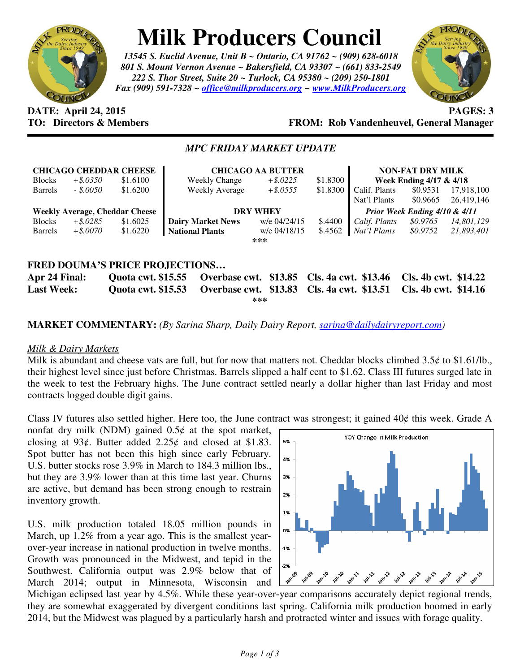

# **Milk Producers Council**

*13545 S. Euclid Avenue, Unit B ~ Ontario, CA 91762 ~ (909) 628-6018 801 S. Mount Vernon Avenue ~ Bakersfield, CA 93307 ~ (661) 833-2549 222 S. Thor Street, Suite 20 ~ Turlock, CA 95380 ~ (209) 250-1801 Fax (909) 591-7328 ~ office@milkproducers.org ~ www.MilkProducers.org*



## **DATE: April 24, 2015 PAGES: 3 TO: Directors & Members FROM: Rob Vandenheuvel, General Manager**

#### *MPC FRIDAY MARKET UPDATE*

| <b>CHICAGO CHEDDAR CHEESE</b><br>$+$ \$.0350<br>\$1.6100<br><b>Blocks</b> |             |          | <b>CHICAGO AA BUTTER</b><br>\$1.8300<br>$+$ \$.0225<br><b>Weekly Change</b> |              |          | <b>NON-FAT DRY MILK</b><br>Week Ending 4/17 & 4/18 |          |            |
|---------------------------------------------------------------------------|-------------|----------|-----------------------------------------------------------------------------|--------------|----------|----------------------------------------------------|----------|------------|
| <b>Barrels</b>                                                            | $-.50050$   | \$1.6200 | Weekly Average                                                              | $+$ \$.0555  | \$1.8300 | Calif. Plants                                      | \$0.9531 | 17,918,100 |
|                                                                           |             |          |                                                                             |              |          |                                                    |          |            |
|                                                                           |             |          |                                                                             |              |          | Nat'l Plants                                       | \$0.9665 | 26.419.146 |
| <b>Weekly Average, Cheddar Cheese</b>                                     |             |          | <b>DRY WHEY</b>                                                             |              |          | Prior Week Ending 4/10 & 4/11                      |          |            |
| <b>Blocks</b>                                                             | $+$ \$.0285 | \$1.6025 | <b>Dairy Market News</b>                                                    | w/e 04/24/15 | \$.4400  | Calif. Plants                                      | \$0.9765 | 14,801,129 |
| <b>Barrels</b>                                                            | $+$ \$.0070 | \$1.6220 | <b>National Plants</b>                                                      | w/e 04/18/15 | \$.4562  | Nat'l Plants                                       | \$0.9752 | 21,893,401 |
| ***                                                                       |             |          |                                                                             |              |          |                                                    |          |            |
|                                                                           |             |          |                                                                             |              |          |                                                    |          |            |
|                                                                           |             |          |                                                                             |              |          |                                                    |          |            |

## **FRED DOUMA'S PRICE PROJECTIONS…**

**Apr 24 Final: Quota cwt. \$15.55 Overbase cwt. \$13.85 Cls. 4a cwt. \$13.46 Cls. 4b cwt. \$14.22 Last Week: Quota cwt. \$15.53 Overbase cwt. \$13.83 Cls. 4a cwt. \$13.51 Cls. 4b cwt. \$14.16 \*\*\*** 

## **MARKET COMMENTARY:** *(By Sarina Sharp, Daily Dairy Report, sarina@dailydairyreport.com)*

## *Milk & Dairy Markets*

Milk is abundant and cheese vats are full, but for now that matters not. Cheddar blocks climbed  $3.5¢$  to \$1.61/lb., their highest level since just before Christmas. Barrels slipped a half cent to \$1.62. Class III futures surged late in the week to test the February highs. The June contract settled nearly a dollar higher than last Friday and most contracts logged double digit gains.

Class IV futures also settled higher. Here too, the June contract was strongest; it gained  $40¢$  this week. Grade A

nonfat dry milk (NDM) gained  $0.5¢$  at the spot market, closing at 93¢. Butter added 2.25¢ and closed at \$1.83. Spot butter has not been this high since early February. U.S. butter stocks rose 3.9% in March to 184.3 million lbs., but they are 3.9% lower than at this time last year. Churns are active, but demand has been strong enough to restrain inventory growth.

U.S. milk production totaled 18.05 million pounds in March, up 1.2% from a year ago. This is the smallest yearover-year increase in national production in twelve months. Growth was pronounced in the Midwest, and tepid in the Southwest. California output was 2.9% below that of March 2014; output in Minnesota, Wisconsin and



Michigan eclipsed last year by 4.5%. While these year-over-year comparisons accurately depict regional trends, they are somewhat exaggerated by divergent conditions last spring. California milk production boomed in early 2014, but the Midwest was plagued by a particularly harsh and protracted winter and issues with forage quality.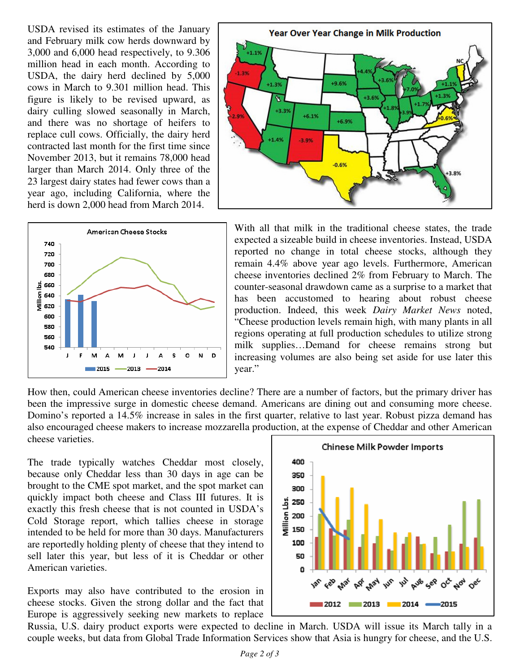USDA revised its estimates of the January and February milk cow herds downward by 3,000 and 6,000 head respectively, to 9.306 million head in each month. According to USDA, the dairy herd declined by 5,000 cows in March to 9.301 million head. This figure is likely to be revised upward, as dairy culling slowed seasonally in March, and there was no shortage of heifers to replace cull cows. Officially, the dairy herd contracted last month for the first time since November 2013, but it remains 78,000 head larger than March 2014. Only three of the 23 largest dairy states had fewer cows than a year ago, including California, where the herd is down 2,000 head from March 2014.





With all that milk in the traditional cheese states, the trade expected a sizeable build in cheese inventories. Instead, USDA reported no change in total cheese stocks, although they remain 4.4% above year ago levels. Furthermore, American cheese inventories declined 2% from February to March. The counter-seasonal drawdown came as a surprise to a market that has been accustomed to hearing about robust cheese production. Indeed, this week *Dairy Market News* noted, "Cheese production levels remain high, with many plants in all regions operating at full production schedules to utilize strong milk supplies…Demand for cheese remains strong but increasing volumes are also being set aside for use later this year."

How then, could American cheese inventories decline? There are a number of factors, but the primary driver has been the impressive surge in domestic cheese demand. Americans are dining out and consuming more cheese. Domino's reported a 14.5% increase in sales in the first quarter, relative to last year. Robust pizza demand has also encouraged cheese makers to increase mozzarella production, at the expense of Cheddar and other American cheese varieties.

The trade typically watches Cheddar most closely, because only Cheddar less than 30 days in age can be brought to the CME spot market, and the spot market can quickly impact both cheese and Class III futures. It is exactly this fresh cheese that is not counted in USDA's Cold Storage report, which tallies cheese in storage intended to be held for more than 30 days. Manufacturers are reportedly holding plenty of cheese that they intend to sell later this year, but less of it is Cheddar or other American varieties.

Exports may also have contributed to the erosion in cheese stocks. Given the strong dollar and the fact that Europe is aggressively seeking new markets to replace



Russia, U.S. dairy product exports were expected to decline in March. USDA will issue its March tally in a couple weeks, but data from Global Trade Information Services show that Asia is hungry for cheese, and the U.S.